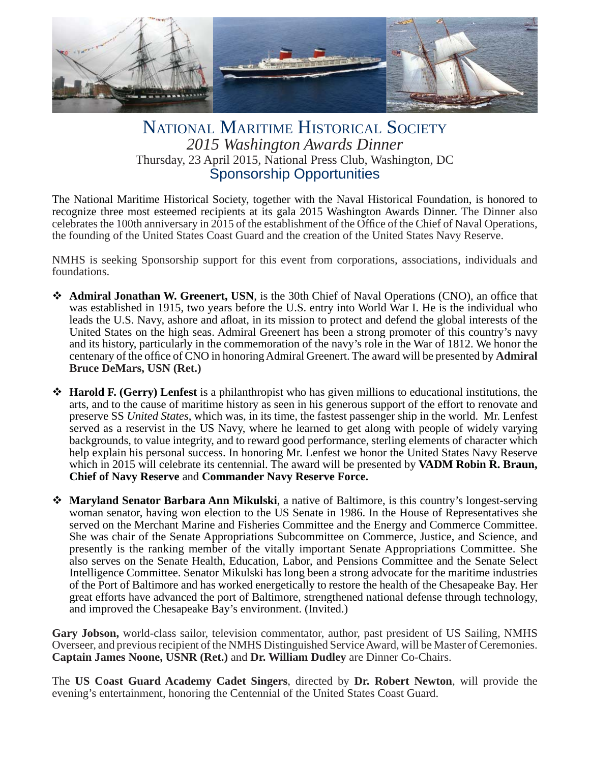

#### NATIONAL MARITIME HISTORICAL SOCIETY *2015 Washington Awards Dinner* Thursday, 23 April 2015, National Press Club, Washington, DC Sponsorship Opportunities

The National Maritime Historical Society, together with the Naval Historical Foundation, is honored to recognize three most esteemed recipients at its gala 2015 Washington Awards Dinner. The Dinner also celebrates the 100th anniversary in 2015 of the establishment of the Office of the Chief of Naval Operations, the founding of the United States Coast Guard and the creation of the United States Navy Reserve.

NMHS is seeking Sponsorship support for this event from corporations, associations, individuals and foundations.

- **Admiral Jonathan W. Greenert, USN**, is the 30th Chief of Naval Operations (CNO), an office that was established in 1915, two years before the U.S. entry into World War I. He is the individual who leads the U.S. Navy, ashore and afloat, in its mission to protect and defend the global interests of the United States on the high seas. Admiral Greenert has been a strong promoter of this country's navy and its history, particularly in the commemoration of the navy's role in the War of 1812. We honor the centenary of the office of CNO in honoring Admiral Greenert. The award will be presented by **Admiral Bruce DeMars, USN (Ret.)**
- **Harold F. (Gerry) Lenfest** is a philanthropist who has given millions to educational institutions, the arts, and to the cause of maritime history as seen in his generous support of the effort to renovate and preserve SS *United States*, which was, in its time, the fastest passenger ship in the world. Mr. Lenfest served as a reservist in the US Navy, where he learned to get along with people of widely varying backgrounds, to value integrity, and to reward good performance, sterling elements of character which help explain his personal success. In honoring Mr. Lenfest we honor the United States Navy Reserve which in 2015 will celebrate its centennial. The award will be presented by **VADM Robin R. Braun, Chief of Navy Reserve** and **Commander Navy Reserve Force.**
- **Maryland Senator Barbara Ann Mikulski**, a native of Baltimore, is this country's longest-serving woman senator, having won election to the US Senate in 1986. In the House of Representatives she served on the Merchant Marine and Fisheries Committee and the Energy and Commerce Committee. She was chair of the Senate Appropriations Subcommittee on Commerce, Justice, and Science, and presently is the ranking member of the vitally important Senate Appropriations Committee. She also serves on the Senate Health, Education, Labor, and Pensions Committee and the Senate Select Intelligence Committee. Senator Mikulski has long been a strong advocate for the maritime industries of the Port of Baltimore and has worked energetically to restore the health of the Chesapeake Bay. Her great efforts have advanced the port of Baltimore, strengthened national defense through technology, and improved the Chesapeake Bay's environment. (Invited.)

**Gary Jobson,** world-class sailor, television commentator, author, past president of US Sailing, NMHS Overseer, and previous recipient of the NMHS Distinguished Service Award, will be Master of Ceremonies. **Captain James Noone, USNR (Ret.)** and **Dr. William Dudley** are Dinner Co-Chairs.

The **US Coast Guard Academy Cadet Singers**, directed by **Dr. Robert Newton**, will provide the evening's entertainment, honoring the Centennial of the United States Coast Guard.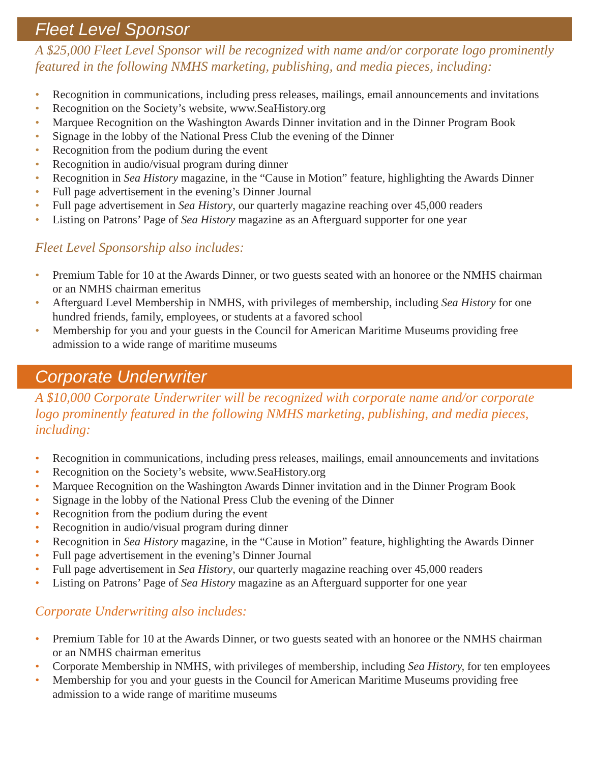# *Fleet Level Sponsor*

*A \$25,000 Fleet Level Sponsor will be recognized with name and/or corporate logo prominently featured in the following NMHS marketing, publishing, and media pieces, including:*

- Recognition in communications, including press releases, mailings, email announcements and invitations
- Recognition on the Society's website, www.SeaHistory.org
- Marquee Recognition on the Washington Awards Dinner invitation and in the Dinner Program Book
- Signage in the lobby of the National Press Club the evening of the Dinner
- Recognition from the podium during the event
- Recognition in audio/visual program during dinner
- Recognition in *Sea History* magazine, in the "Cause in Motion" feature, highlighting the Awards Dinner
- Full page advertisement in the evening's Dinner Journal
- Full page advertisement in *Sea History*, our quarterly magazine reaching over 45,000 readers
- Listing on Patrons' Page of *Sea History* magazine as an Afterguard supporter for one year

#### *Fleet Level Sponsorship also includes:*

- Premium Table for 10 at the Awards Dinner, or two guests seated with an honoree or the NMHS chairman or an NMHS chairman emeritus
- Afterguard Level Membership in NMHS, with privileges of membership, including *Sea History* for one hundred friends, family, employees, or students at a favored school
- Membership for you and your guests in the Council for American Maritime Museums providing free admission to a wide range of maritime museums

# *Corporate Underwriter*

*A \$10,000 Corporate Underwriter will be recognized with corporate name and/or corporate logo prominently featured in the following NMHS marketing, publishing, and media pieces, including:*

- Recognition in communications, including press releases, mailings, email announcements and invitations
- Recognition on the Society's website, www.SeaHistory.org
- Marquee Recognition on the Washington Awards Dinner invitation and in the Dinner Program Book
- Signage in the lobby of the National Press Club the evening of the Dinner
- Recognition from the podium during the event
- Recognition in audio/visual program during dinner
- Recognition in *Sea History* magazine, in the "Cause in Motion" feature, highlighting the Awards Dinner
- Full page advertisement in the evening's Dinner Journal
- Full page advertisement in *Sea History*, our quarterly magazine reaching over 45,000 readers
- Listing on Patrons' Page of *Sea History* magazine as an Afterguard supporter for one year

#### *Corporate Underwriting also includes:*

- Premium Table for 10 at the Awards Dinner, or two guests seated with an honoree or the NMHS chairman or an NMHS chairman emeritus
- Corporate Membership in NMHS, with privileges of membership, including *Sea History,* for ten employees
- Membership for you and your guests in the Council for American Maritime Museums providing free admission to a wide range of maritime museums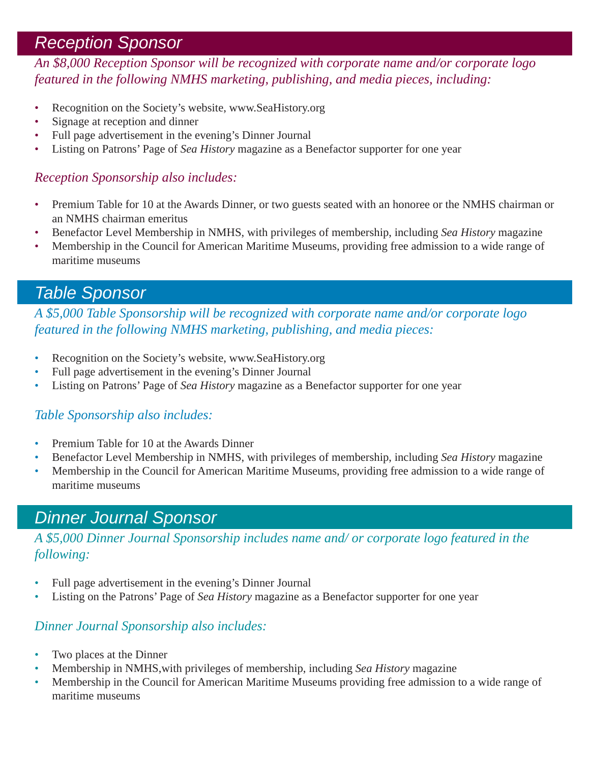## *Reception Sponsor*

*An \$8,000 Reception Sponsor will be recognized with corporate name and/or corporate logo featured in the following NMHS marketing, publishing, and media pieces, including:* 

- Recognition on the Society's website, www.SeaHistory.org
- Signage at reception and dinner
- Full page advertisement in the evening's Dinner Journal
- Listing on Patrons' Page of *Sea History* magazine as a Benefactor supporter for one year

#### *Reception Sponsorship also includes:*

- Premium Table for 10 at the Awards Dinner, or two guests seated with an honoree or the NMHS chairman or an NMHS chairman emeritus
- Benefactor Level Membership in NMHS, with privileges of membership, including *Sea History* magazine
- Membership in the Council for American Maritime Museums, providing free admission to a wide range of maritime museums

## *Table Sponsor*

*A \$5,000 Table Sponsorship will be recognized with corporate name and/or corporate logo featured in the following NMHS marketing, publishing, and media pieces:*

- Recognition on the Society's website, www.SeaHistory.org
- Full page advertisement in the evening's Dinner Journal
- Listing on Patrons' Page of *Sea History* magazine as a Benefactor supporter for one year

#### *Table Sponsorship also includes:*

- Premium Table for 10 at the Awards Dinner
- Benefactor Level Membership in NMHS, with privileges of membership, including *Sea History* magazine
- Membership in the Council for American Maritime Museums, providing free admission to a wide range of maritime museums

# *Dinner Journal Sponsor*

*A \$5,000 Dinner Journal Sponsorship includes name and/ or corporate logo featured in the following:*

- Full page advertisement in the evening's Dinner Journal
- Listing on the Patrons' Page of *Sea History* magazine as a Benefactor supporter for one year

#### *Dinner Journal Sponsorship also includes:*

- Two places at the Dinner
- Membership in NMHS,with privileges of membership, including *Sea History* magazine
- Membership in the Council for American Maritime Museums providing free admission to a wide range of maritime museums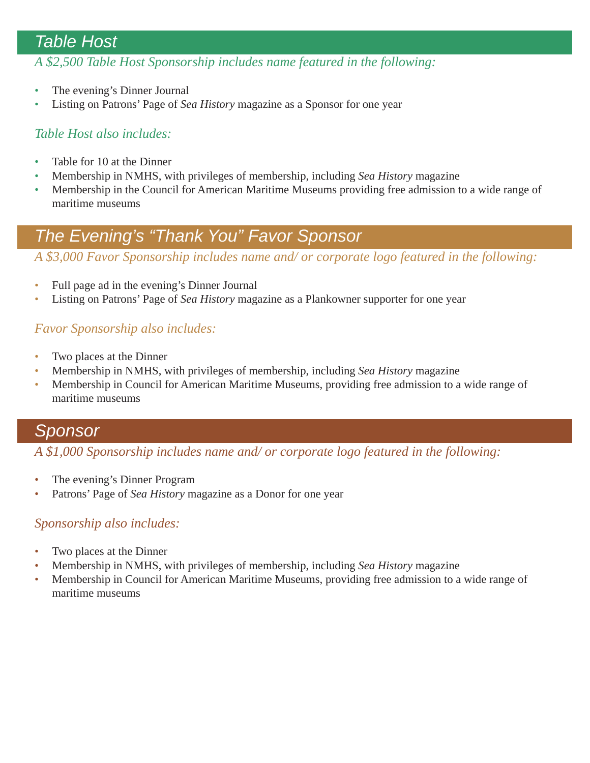### *Table Host*

*A \$2,500 Table Host Sponsorship includes name featured in the following:*

- The evening's Dinner Journal
- Listing on Patrons' Page of *Sea History* magazine as a Sponsor for one year

#### *Table Host also includes:*

- Table for 10 at the Dinner
- Membership in NMHS, with privileges of membership, including *Sea History* magazine
- Membership in the Council for American Maritime Museums providing free admission to a wide range of maritime museums

# *The Evening's "Thank You" Favor Sponsor*

*A \$3,000 Favor Sponsorship includes name and/ or corporate logo featured in the following:*

- Full page ad in the evening's Dinner Journal
- Listing on Patrons' Page of *Sea History* magazine as a Plankowner supporter for one year

#### *Favor Sponsorship also includes:*

- Two places at the Dinner
- Membership in NMHS, with privileges of membership, including *Sea History* magazine
- Membership in Council for American Maritime Museums, providing free admission to a wide range of maritime museums

#### *Sponsor*

*A \$1,000 Sponsorship includes name and/ or corporate logo featured in the following:*

- The evening's Dinner Program
- Patrons' Page of *Sea History* magazine as a Donor for one year

#### *Sponsorship also includes:*

- Two places at the Dinner
- Membership in NMHS, with privileges of membership, including *Sea History* magazine
- Membership in Council for American Maritime Museums, providing free admission to a wide range of maritime museums